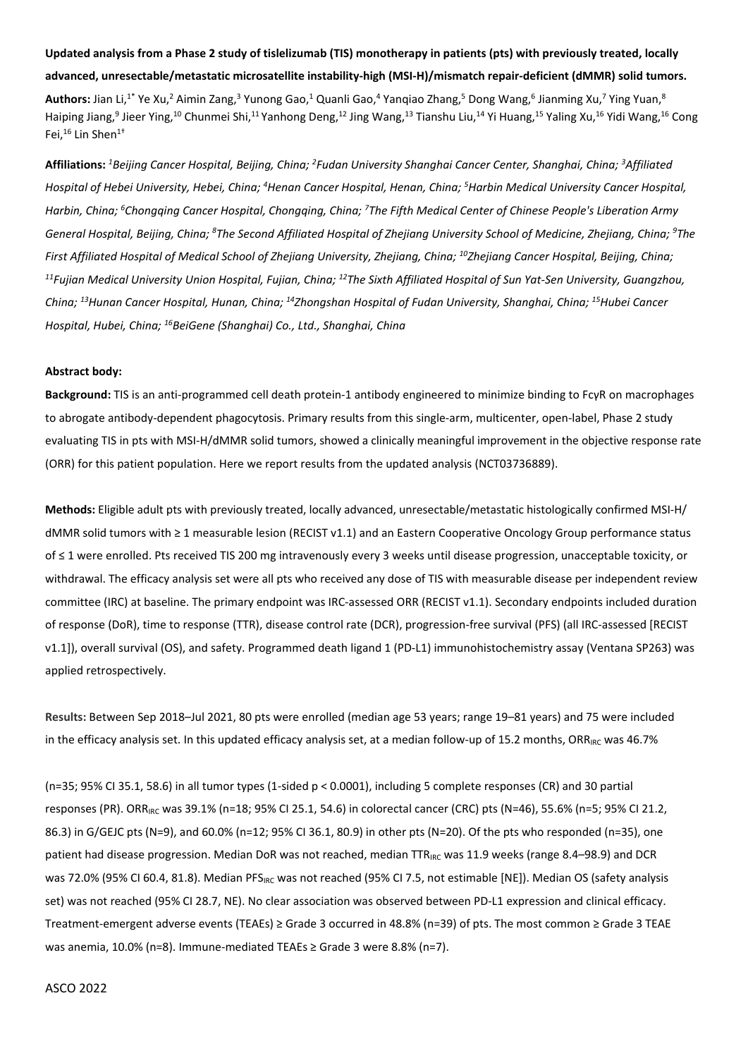## **Updated analysis from a Phase 2 study of tislelizumab (TIS) monotherapy in patients (pts) with previously treated, locally**

## **advanced, unresectable/metastatic microsatellite instability-high (MSI-H)/mismatch repair-deficient (dMMR) solid tumors.**

**Authors:** Jian Li,<sup>1\*</sup> Ye Xu,<sup>2</sup> Aimin Zang,<sup>3</sup> Yunong Gao,<sup>1</sup> Quanli Gao,<sup>4</sup> Yanqiao Zhang,<sup>5</sup> Dong Wang,<sup>6</sup> Jianming Xu,<sup>7</sup> Ying Yuan,<sup>8</sup> Haiping Jiang,<sup>9</sup> Jieer Ying,<sup>10</sup> Chunmei Shi,<sup>11</sup> Yanhong Deng,<sup>12</sup> Jing Wang,<sup>13</sup> Tianshu Liu,<sup>14</sup> Yi Huang,<sup>15</sup> Yaling Xu,<sup>16</sup> Yidi Wang,<sup>16</sup> Cong Fei.<sup>16</sup> Lin Shen<sup>1+</sup>

**Affiliations:** *<sup>1</sup>Beijing Cancer Hospital, Beijing, China; <sup>2</sup> Fudan University Shanghai Cancer Center, Shanghai, China; <sup>3</sup>Affiliated Hospital of Hebei University, Hebei, China; <sup>4</sup>Henan Cancer Hospital, Henan, China; <sup>5</sup>Harbin Medical University Cancer Hospital, Harbin, China; <sup>6</sup>Chongqing Cancer Hospital, Chongqing, China; <sup>7</sup>The Fifth Medical Center of Chinese People's Liberation Army General Hospital, Beijing, China; <sup>8</sup>The Second Affiliated Hospital of Zhejiang University School of Medicine, Zhejiang, China; <sup>9</sup>The First Affiliated Hospital of Medical School of Zhejiang University, Zhejiang, China; <sup>10</sup>Zhejiang Cancer Hospital, Beijing, China; <sup>11</sup>Fujian Medical University Union Hospital, Fujian, China; <sup>12</sup>The Sixth Affiliated Hospital of Sun Yat-Sen University, Guangzhou, China; <sup>13</sup>Hunan Cancer Hospital, Hunan, China; <sup>14</sup>Zhongshan Hospital of Fudan University, Shanghai, China; <sup>15</sup>Hubei Cancer Hospital, Hubei, China; <sup>16</sup>BeiGene (Shanghai) Co., Ltd., Shanghai, China*

## **Abstract body:**

**Background:** TIS is an anti-programmed cell death protein-1 antibody engineered to minimize binding to FcγR on macrophages to abrogate antibody-dependent phagocytosis. Primary results from this single-arm, multicenter, open-label, Phase 2 study evaluating TIS in pts with MSI-H/dMMR solid tumors, showed a clinically meaningful improvement in the objective response rate (ORR) for this patient population. Here we report results from the updated analysis (NCT03736889).

**Methods:** Eligible adult pts with previously treated, locally advanced, unresectable/metastatic histologically confirmed MSI-H/ dMMR solid tumors with ≥ 1 measurable lesion (RECIST v1.1) and an Eastern Cooperative Oncology Group performance status of ≤ 1 were enrolled. Pts received TIS 200 mg intravenously every 3 weeks until disease progression, unacceptable toxicity, or withdrawal. The efficacy analysis set were all pts who received any dose of TIS with measurable disease per independent review committee (IRC) at baseline. The primary endpoint was IRC-assessed ORR (RECIST v1.1). Secondary endpoints included duration of response (DoR), time to response (TTR), disease control rate (DCR), progression-free survival (PFS) (all IRC-assessed [RECIST v1.1]), overall survival (OS), and safety. Programmed death ligand 1 (PD-L1) immunohistochemistry assay (Ventana SP263) was applied retrospectively.

**Results:** Between Sep 2018–Jul 2021, 80 pts were enrolled (median age 53 years; range 19–81 years) and 75 were included in the efficacy analysis set. In this updated efficacy analysis set, at a median follow-up of 15.2 months, ORR<sub>IRC</sub> was 46.7%

(n=35; 95% CI 35.1, 58.6) in all tumor types (1-sided p < 0.0001), including 5 complete responses (CR) and 30 partial responses (PR). ORRIRC was 39.1% (n=18; 95% CI 25.1, 54.6) in colorectal cancer (CRC) pts (N=46), 55.6% (n=5; 95% CI 21.2, 86.3) in G/GEJC pts (N=9), and 60.0% (n=12; 95% CI 36.1, 80.9) in other pts (N=20). Of the pts who responded (n=35), one patient had disease progression. Median DoR was not reached, median TTR<sub>IRC</sub> was 11.9 weeks (range 8.4–98.9) and DCR was 72.0% (95% CI 60.4, 81.8). Median PFS<sub>IRC</sub> was not reached (95% CI 7.5, not estimable [NE]). Median OS (safety analysis set) was not reached (95% CI 28.7, NE). No clear association was observed between PD-L1 expression and clinical efficacy. Treatment-emergent adverse events (TEAEs) ≥ Grade 3 occurred in 48.8% (n=39) of pts. The most common ≥ Grade 3 TEAE was anemia, 10.0% (n=8). Immune-mediated TEAEs ≥ Grade 3 were 8.8% (n=7).